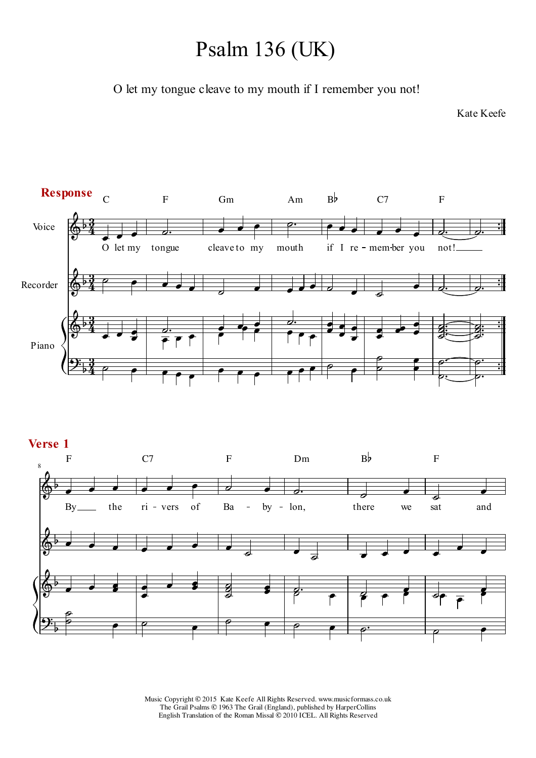# Psalm 136 (UK)

O let my tongue cleave to my mouth if I remember you not!

Kate Keefe





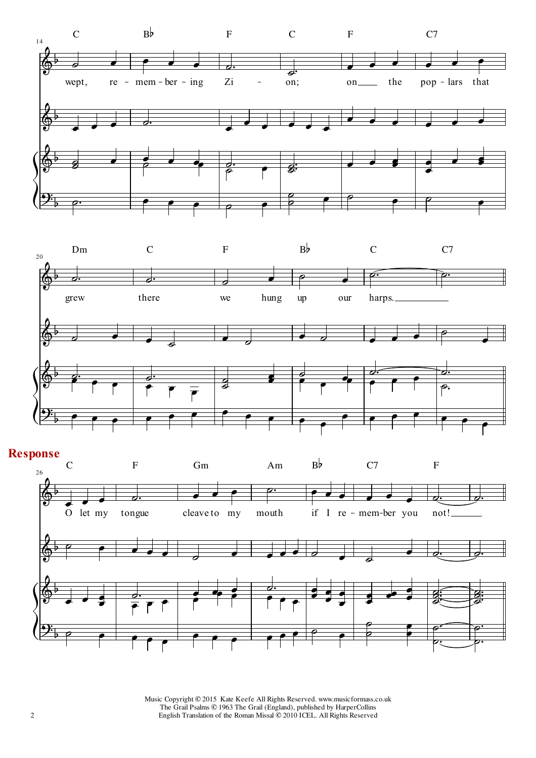



#### **Response**

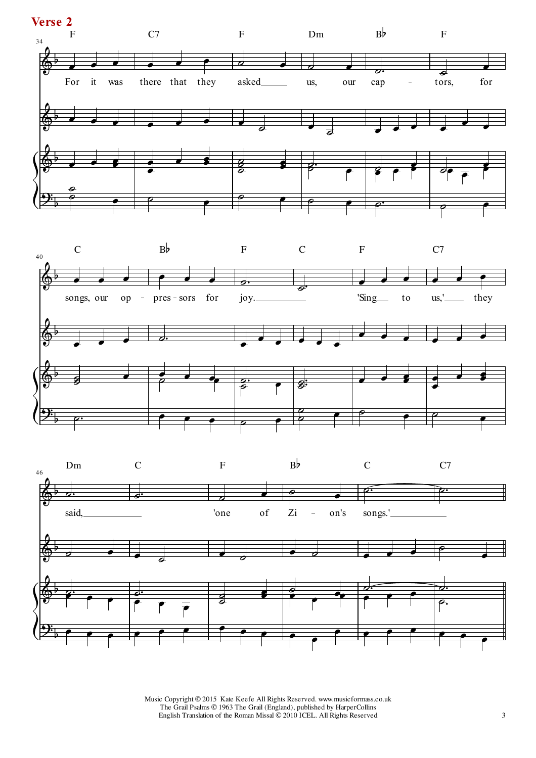



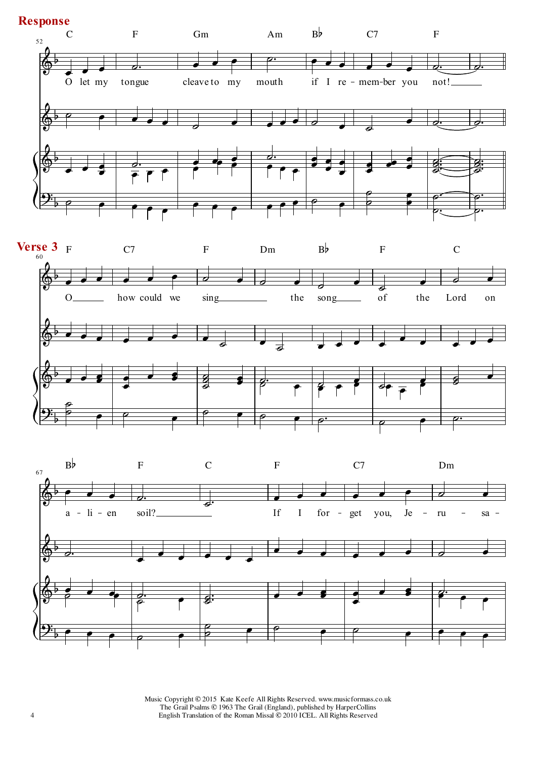#### **Response**





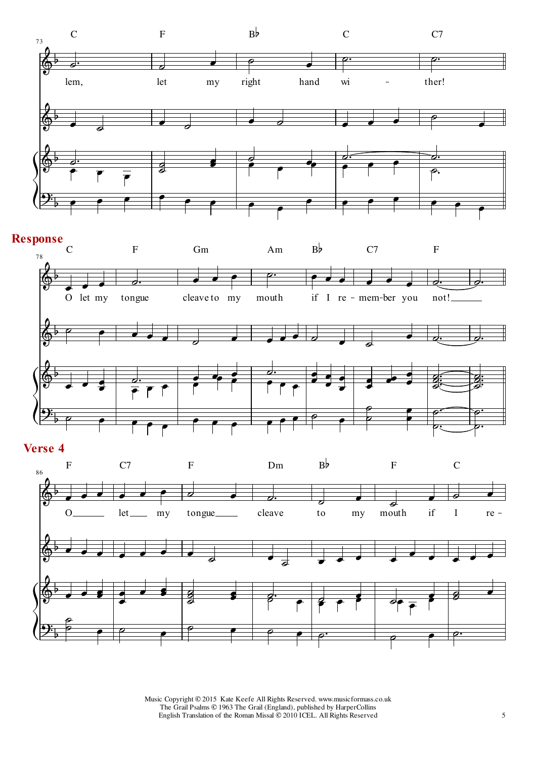

## **Response**



### **Verse 4**